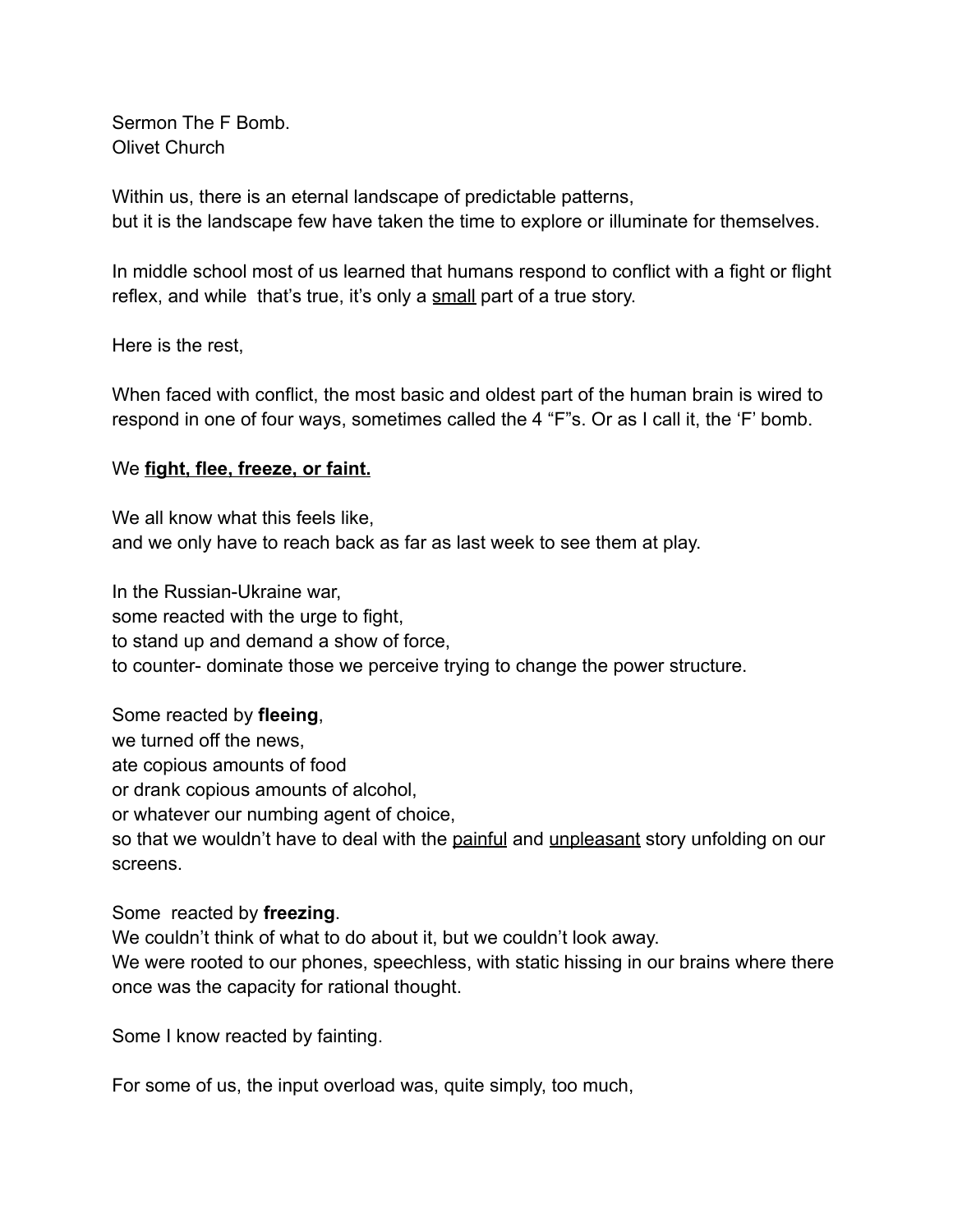Sermon The F Bomb. Olivet Church

Within us, there is an eternal landscape of predictable patterns, but it is the landscape few have taken the time to explore or illuminate for themselves.

In middle school most of us learned that humans respond to conflict with a fight or flight reflex, and while that's true, it's only a small part of a true story.

Here is the rest,

When faced with conflict, the most basic and oldest part of the human brain is wired to respond in one of four ways, sometimes called the 4 "F"s. Or as I call it, the 'F' bomb.

# We **fight, flee, freeze, or faint.**

We all know what this feels like, and we only have to reach back as far as last week to see them at play.

In the Russian-Ukraine war, some reacted with the urge to fight, to stand up and demand a show of force, to counter- dominate those we perceive trying to change the power structure.

Some reacted by **fleeing**, we turned off the news, ate copious amounts of food or drank copious amounts of alcohol, or whatever our numbing agent of choice, so that we wouldn't have to deal with the painful and unpleasant story unfolding on our screens.

# Some reacted by **freezing**.

We couldn't think of what to do about it, but we couldn't look away. We were rooted to our phones, speechless, with static hissing in our brains where there once was the capacity for rational thought.

Some I know reacted by fainting.

For some of us, the input overload was, quite simply, too much,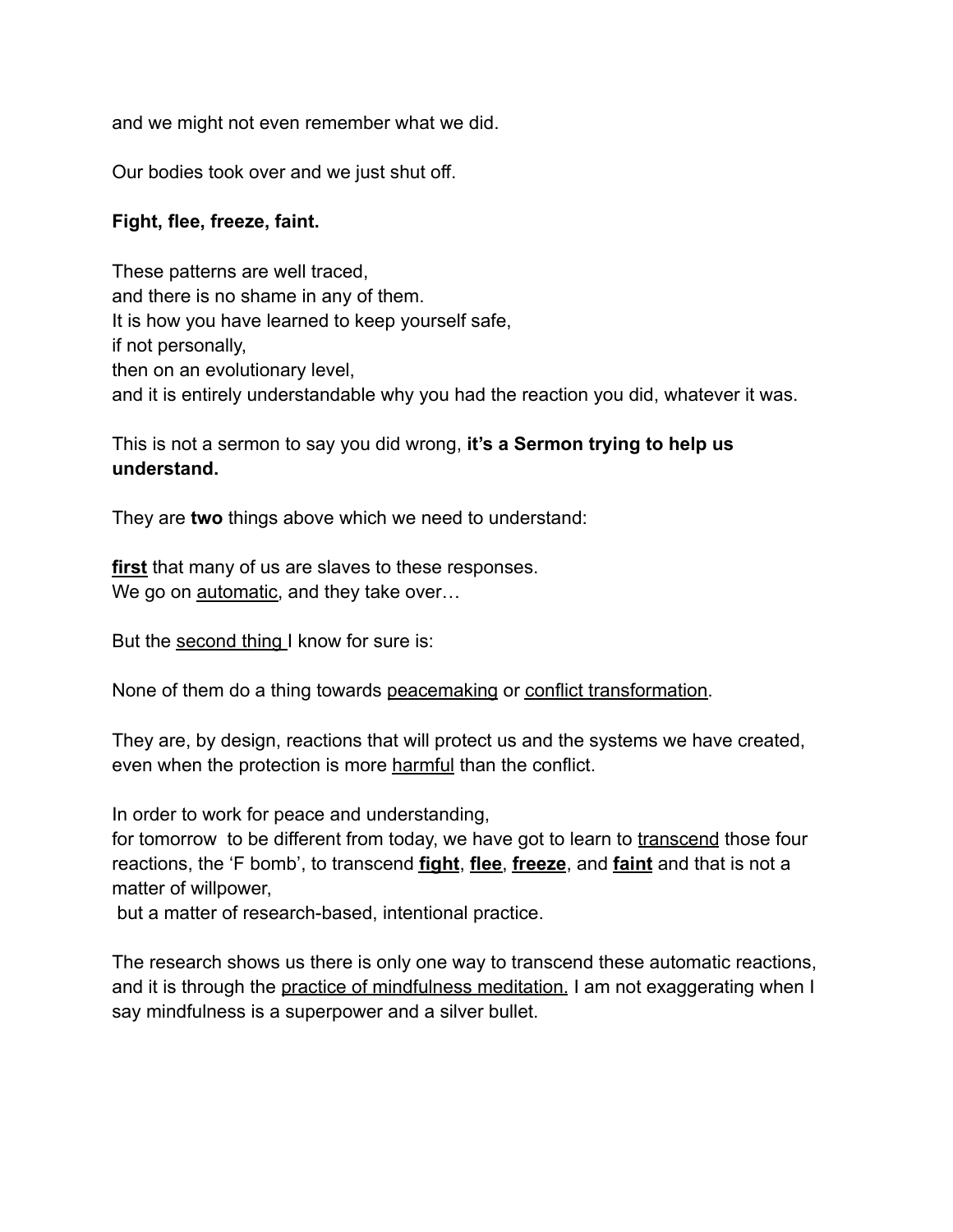and we might not even remember what we did.

Our bodies took over and we just shut off.

# **Fight, flee, freeze, faint.**

These patterns are well traced, and there is no shame in any of them. It is how you have learned to keep yourself safe, if not personally, then on an evolutionary level, and it is entirely understandable why you had the reaction you did, whatever it was.

This is not a sermon to say you did wrong, **it's a Sermon trying to help us understand.**

They are **two** things above which we need to understand:

**first** that many of us are slaves to these responses. We go on automatic, and they take over...

But the second thing I know for sure is:

None of them do a thing towards peacemaking or conflict transformation.

They are, by design, reactions that will protect us and the systems we have created, even when the protection is more harmful than the conflict.

In order to work for peace and understanding,

for tomorrow to be different from today, we have got to learn to transcend those four reactions, the 'F bomb', to transcend **fight**, **flee**, **freeze**, and **faint** and that is not a matter of willpower,

but a matter of research-based, intentional practice.

The research shows us there is only one way to transcend these automatic reactions, and it is through the practice of mindfulness meditation. I am not exaggerating when I say mindfulness is a superpower and a silver bullet.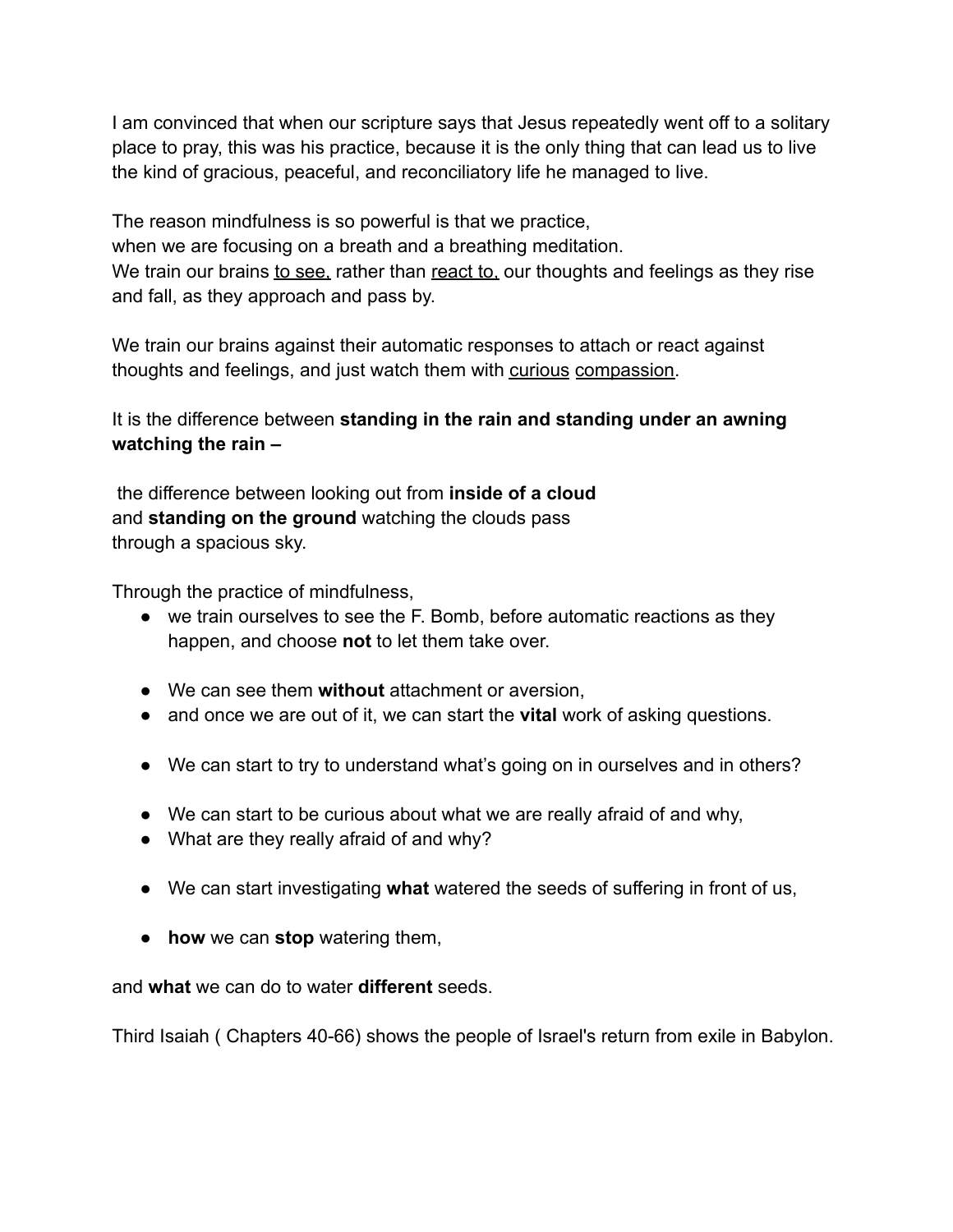I am convinced that when our scripture says that Jesus repeatedly went off to a solitary place to pray, this was his practice, because it is the only thing that can lead us to live the kind of gracious, peaceful, and reconciliatory life he managed to live.

The reason mindfulness is so powerful is that we practice, when we are focusing on a breath and a breathing meditation. We train our brains to see, rather than react to, our thoughts and feelings as they rise and fall, as they approach and pass by.

We train our brains against their automatic responses to attach or react against thoughts and feelings, and just watch them with curious compassion.

# It is the difference between **standing in the rain and standing under an awning watching the rain –**

the difference between looking out from **inside of a cloud** and **standing on the ground** watching the clouds pass through a spacious sky.

Through the practice of mindfulness,

- we train ourselves to see the F. Bomb, before automatic reactions as they happen, and choose **not** to let them take over.
- We can see them **without** attachment or aversion,
- and once we are out of it, we can start the **vital** work of asking questions.
- We can start to try to understand what's going on in ourselves and in others?
- We can start to be curious about what we are really afraid of and why,
- What are they really afraid of and why?
- We can start investigating **what** watered the seeds of suffering in front of us,
- **how** we can **stop** watering them,

### and **what** we can do to water **different** seeds.

Third Isaiah ( Chapters 40-66) shows the people of Israel's return from exile in Babylon.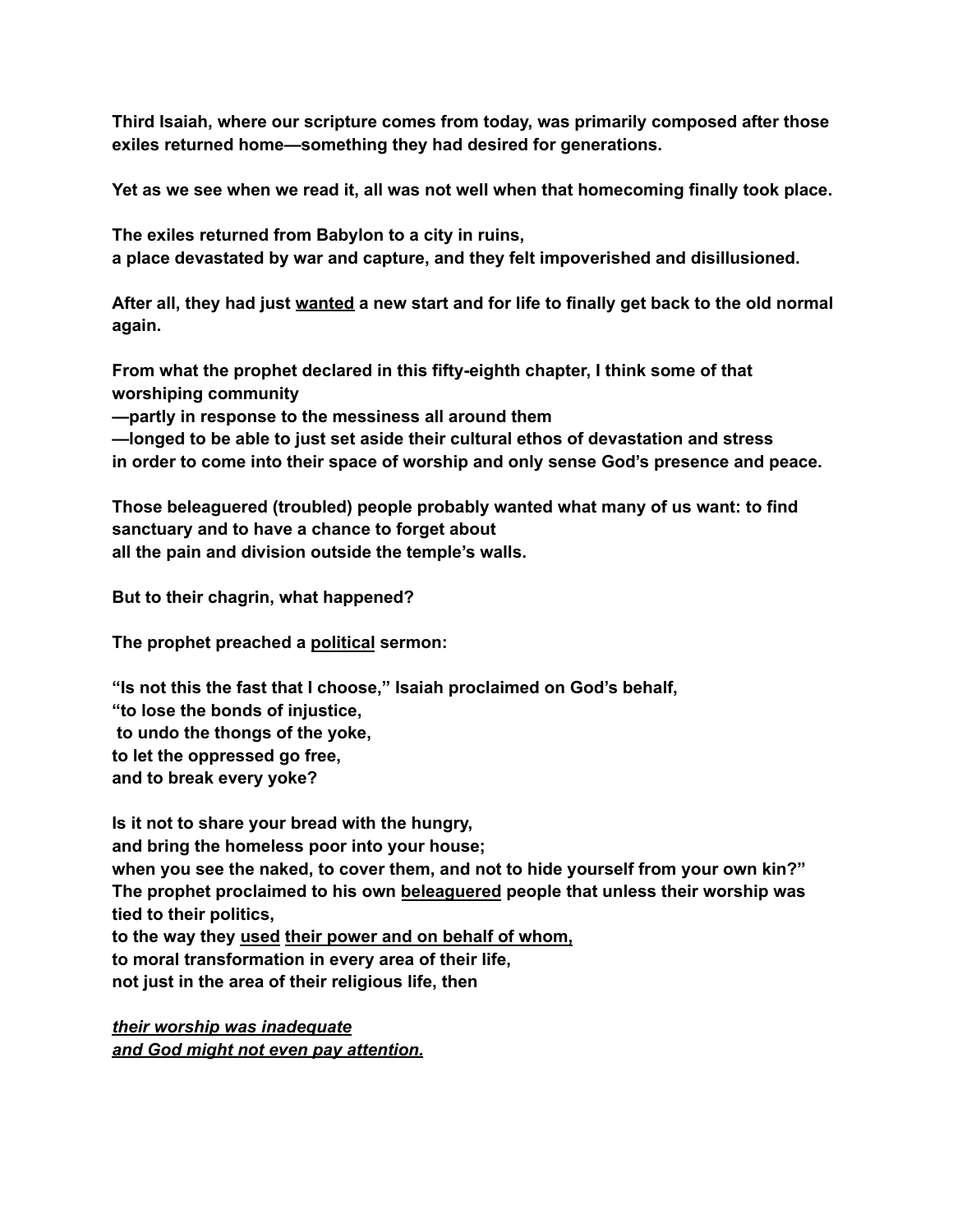**Third Isaiah, where our scripture comes from today, was primarily composed after those exiles returned home—something they had desired for generations.**

**Yet as we see when we read it, all was not well when that homecoming finally took place.**

**The exiles returned from Babylon to a city in ruins, a place devastated by war and capture, and they felt impoverished and disillusioned.**

After all, they had just wanted a new start and for life to finally get back to the old normal **again.**

**From what the prophet declared in this fifty-eighth chapter, I think some of that worshiping community**

**—partly in response to the messiness all around them**

**—longed to be able to just set aside their cultural ethos of devastation and stress in order to come into their space of worship and only sense God's presence and peace.**

**Those beleaguered (troubled) people probably wanted what many of us want: to find sanctuary and to have a chance to forget about all the pain and division outside the temple's walls.**

**But to their chagrin, what happened?**

**The prophet preached a political sermon:**

**"Is not this the fast that I choose," Isaiah proclaimed on God's behalf, "to lose the bonds of injustice, to undo the thongs of the yoke,**

**to let the oppressed go free, and to break every yoke?**

**Is it not to share your bread with the hungry, and bring the homeless poor into your house; when you see the naked, to cover them, and not to hide yourself from your own kin?" The prophet proclaimed to his own beleaguered people that unless their worship was tied to their politics, to the way they used their power and on behalf of whom, to moral transformation in every area of their life,**

**not just in the area of their religious life, then**

*their worship was inadequate and God might not even pay attention.*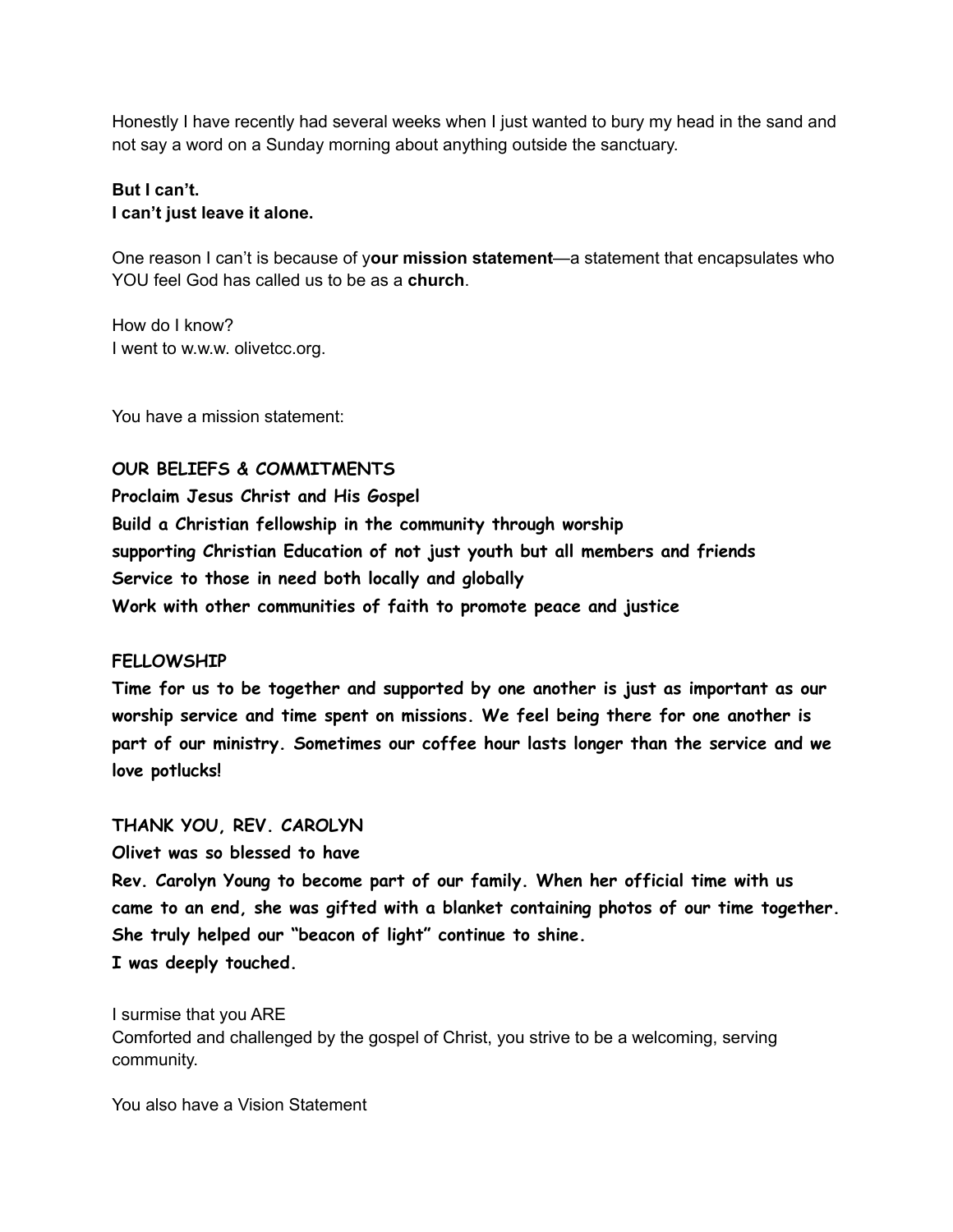Honestly I have recently had several weeks when I just wanted to bury my head in the sand and not say a word on a Sunday morning about anything outside the sanctuary.

### **But I can't. I can't just leave it alone.**

One reason I can't is because of y**our mission statement**—a statement that encapsulates who YOU feel God has called us to be as a **church**.

How do I know? I went to w.w.w. olivetcc.org.

You have a mission statement:

### **OUR BELIEFS & COMMITMENTS**

**Proclaim Jesus Christ and His Gospel Build a Christian fellowship in the community through worship supporting Christian Education of not just youth but all members and friends Service to those in need both locally and globally Work with other communities of faith to promote peace and justice**

### **FELLOWSHIP**

**Time for us to be together and supported by one another is just as important as our worship service and time spent on missions. We feel being there for one another is part of our ministry. Sometimes our coffee hour lasts longer than the service and we love potlucks!**

### **THANK YOU, REV. CAROLYN**

**Olivet was so blessed to have**

**Rev. Carolyn Young to become part of our family. When her official time with us came to an end, she was gifted with a blanket containing photos of our time together. She truly helped our "beacon of light" continue to shine. I was deeply touched.**

I surmise that you ARE Comforted and challenged by the gospel of Christ, you strive to be a welcoming, serving community.

You also have a Vision Statement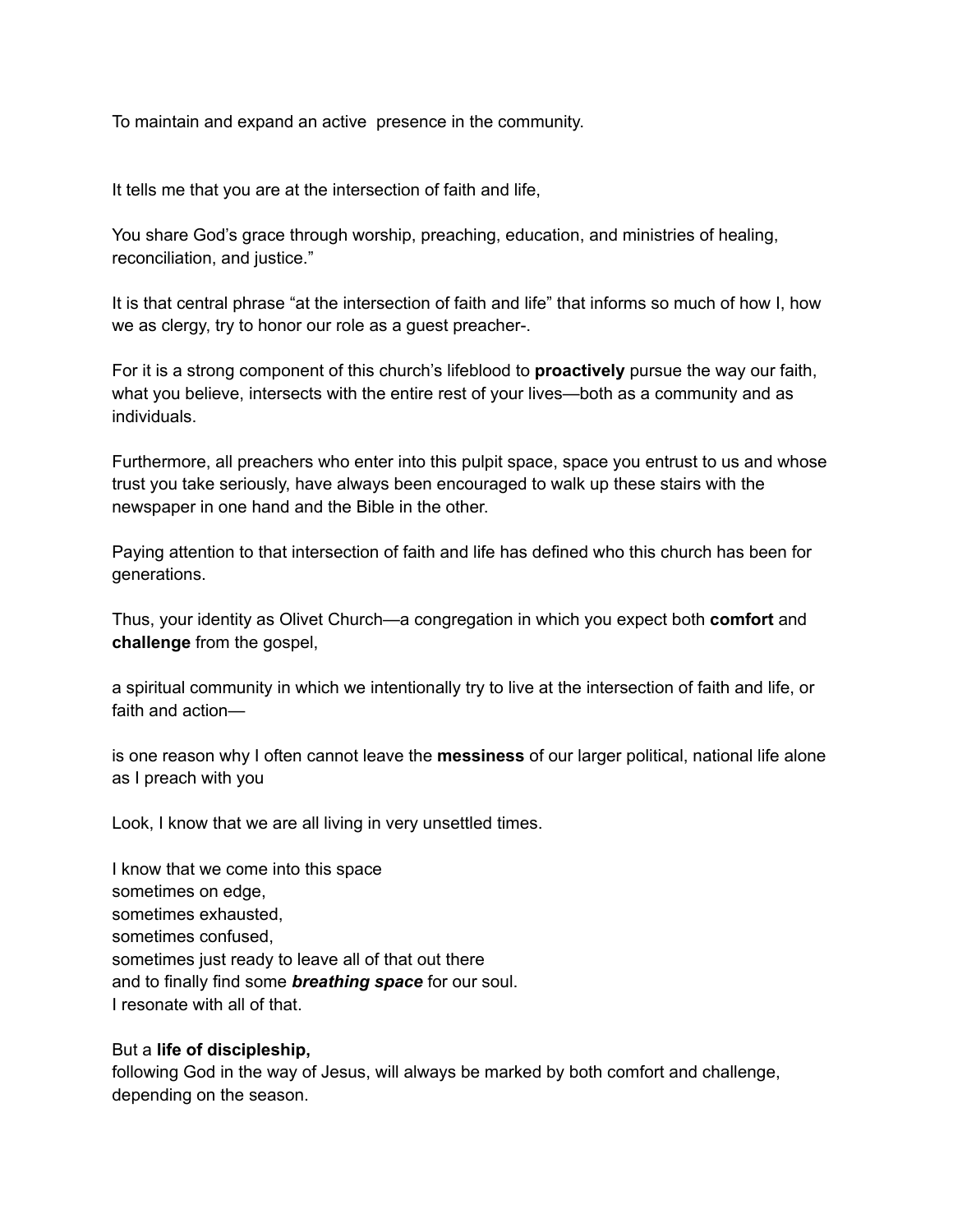To maintain and expand an active presence in the community.

It tells me that you are at the intersection of faith and life,

You share God's grace through worship, preaching, education, and ministries of healing, reconciliation, and justice."

It is that central phrase "at the intersection of faith and life" that informs so much of how I, how we as clergy, try to honor our role as a guest preacher-.

For it is a strong component of this church's lifeblood to **proactively** pursue the way our faith, what you believe, intersects with the entire rest of your lives—both as a community and as individuals.

Furthermore, all preachers who enter into this pulpit space, space you entrust to us and whose trust you take seriously, have always been encouraged to walk up these stairs with the newspaper in one hand and the Bible in the other.

Paying attention to that intersection of faith and life has defined who this church has been for generations.

Thus, your identity as Olivet Church—a congregation in which you expect both **comfort** and **challenge** from the gospel,

a spiritual community in which we intentionally try to live at the intersection of faith and life, or faith and action—

is one reason why I often cannot leave the **messiness** of our larger political, national life alone as I preach with you

Look, I know that we are all living in very unsettled times.

I know that we come into this space sometimes on edge, sometimes exhausted, sometimes confused, sometimes just ready to leave all of that out there and to finally find some *breathing space* for our soul. I resonate with all of that.

### But a **life of discipleship,**

following God in the way of Jesus, will always be marked by both comfort and challenge, depending on the season.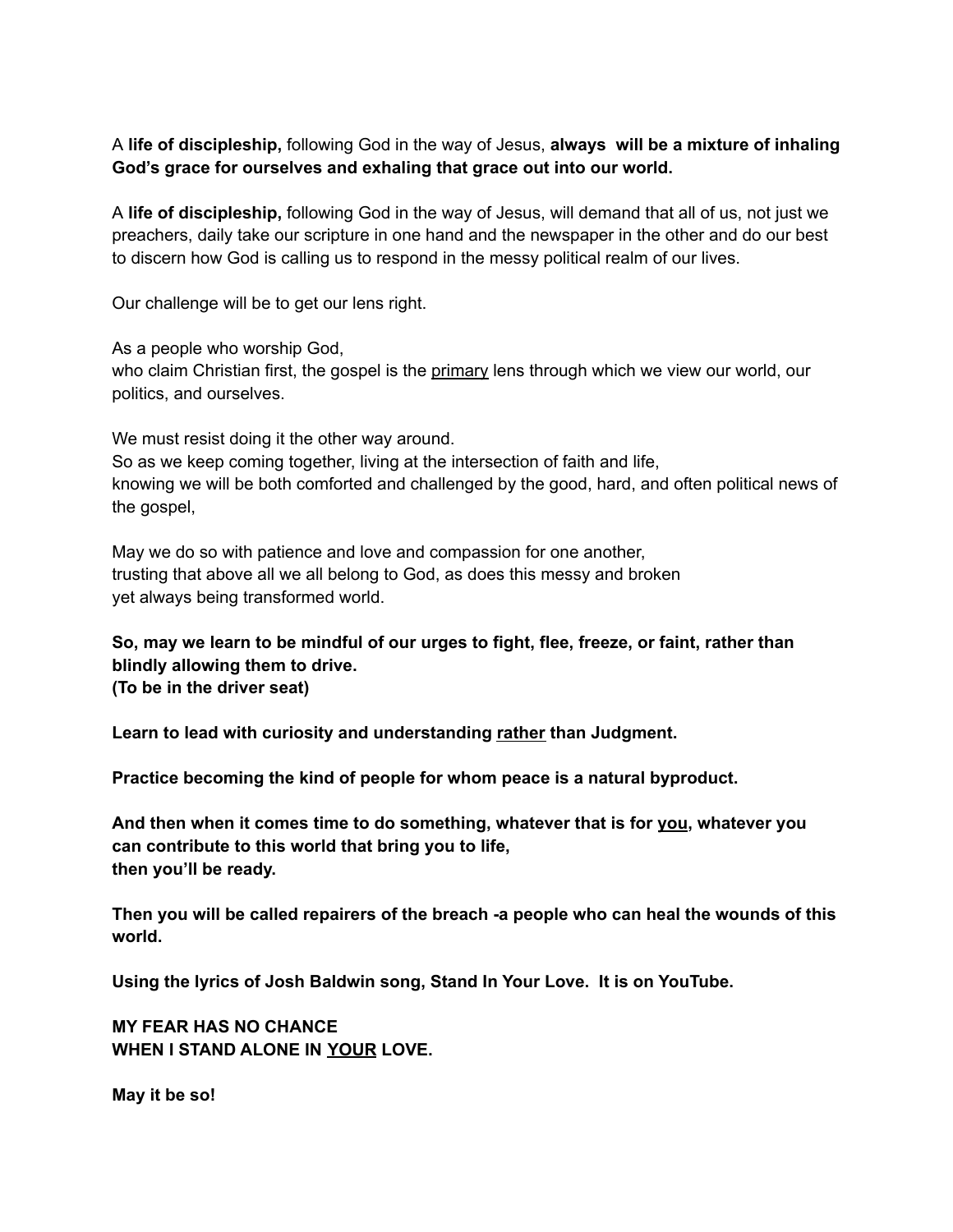A **life of discipleship,** following God in the way of Jesus, **always will be a mixture of inhaling God's grace for ourselves and exhaling that grace out into our world.**

A **life of discipleship,** following God in the way of Jesus, will demand that all of us, not just we preachers, daily take our scripture in one hand and the newspaper in the other and do our best to discern how God is calling us to respond in the messy political realm of our lives.

Our challenge will be to get our lens right.

As a people who worship God,

who claim Christian first, the gospel is the primary lens through which we view our world, our politics, and ourselves.

We must resist doing it the other way around.

So as we keep coming together, living at the intersection of faith and life, knowing we will be both comforted and challenged by the good, hard, and often political news of the gospel,

May we do so with patience and love and compassion for one another, trusting that above all we all belong to God, as does this messy and broken yet always being transformed world.

**So, may we learn to be mindful of our urges to fight, flee, freeze, or faint, rather than blindly allowing them to drive. (To be in the driver seat)**

**Learn to lead with curiosity and understanding rather than Judgment.**

**Practice becoming the kind of people for whom peace is a natural byproduct.**

**And then when it comes time to do something, whatever that is for you, whatever you can contribute to this world that bring you to life, then you'll be ready.**

**Then you will be called repairers of the breach -a people who can heal the wounds of this world.**

**Using the lyrics of Josh Baldwin song, Stand In Your Love. It is on YouTube.**

**MY FEAR HAS NO CHANCE WHEN I STAND ALONE IN YOUR LOVE.**

**May it be so!**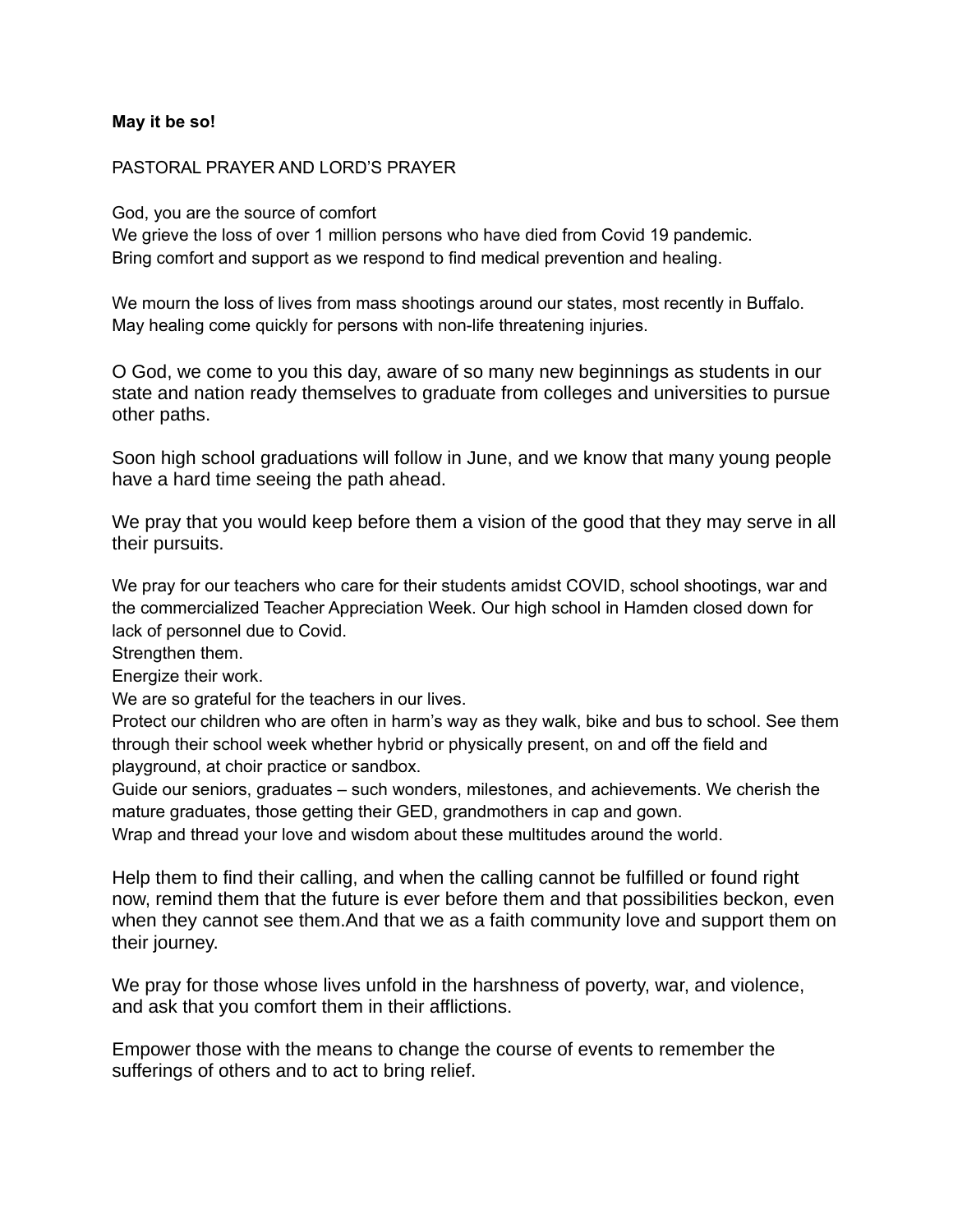### **May it be so!**

#### PASTORAL PRAYER AND LORD'S PRAYER

#### God, you are the source of comfort

We grieve the loss of over 1 million persons who have died from Covid 19 pandemic. Bring comfort and support as we respond to find medical prevention and healing.

We mourn the loss of lives from mass shootings around our states, most recently in Buffalo. May healing come quickly for persons with non-life threatening injuries.

O God, we come to you this day, aware of so many new beginnings as students in our state and nation ready themselves to graduate from colleges and universities to pursue other paths.

Soon high school graduations will follow in June, and we know that many young people have a hard time seeing the path ahead.

We pray that you would keep before them a vision of the good that they may serve in all their pursuits.

We pray for our teachers who care for their students amidst COVID, school shootings, war and the commercialized Teacher Appreciation Week. Our high school in Hamden closed down for lack of personnel due to Covid.

Strengthen them.

Energize their work.

We are so grateful for the teachers in our lives.

Protect our children who are often in harm's way as they walk, bike and bus to school. See them through their school week whether hybrid or physically present, on and off the field and playground, at choir practice or sandbox.

Guide our seniors, graduates – such wonders, milestones, and achievements. We cherish the mature graduates, those getting their GED, grandmothers in cap and gown.

Wrap and thread your love and wisdom about these multitudes around the world.

Help them to find their calling, and when the calling cannot be fulfilled or found right now, remind them that the future is ever before them and that possibilities beckon, even when they cannot see them.And that we as a faith community love and support them on their journey.

We pray for those whose lives unfold in the harshness of poverty, war, and violence, and ask that you comfort them in their afflictions.

Empower those with the means to change the course of events to remember the sufferings of others and to act to bring relief.